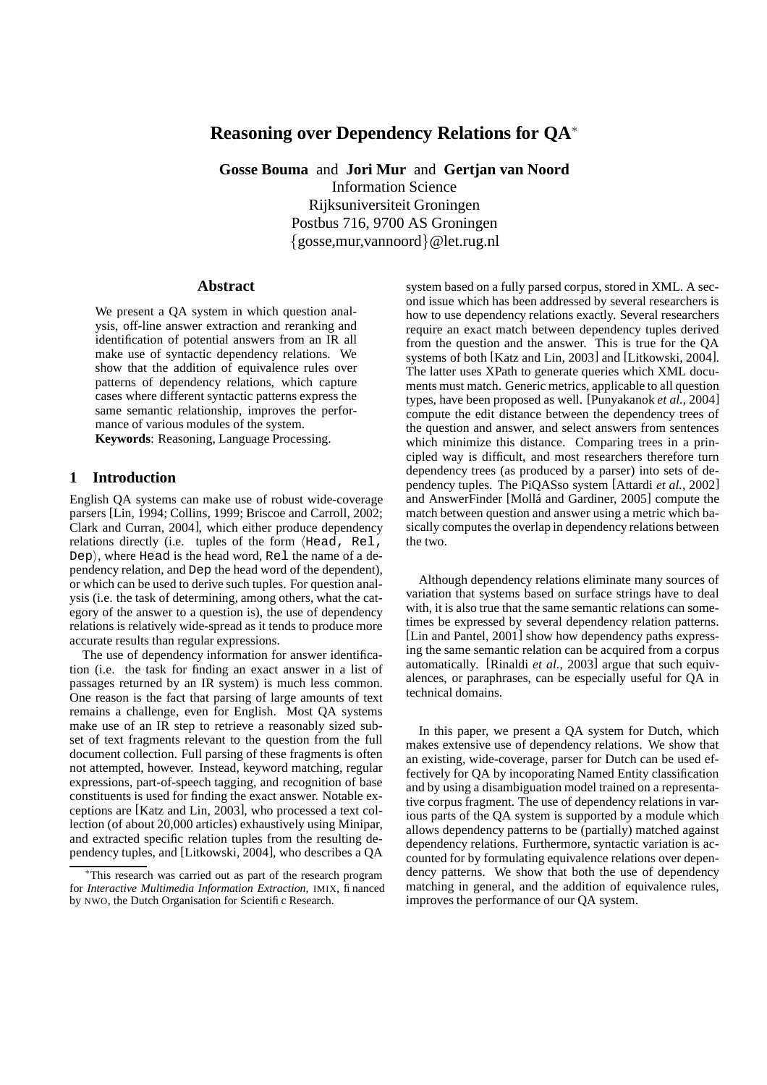# **Reasoning over Dependency Relations for QA**<sup>∗</sup>

**Gosse Bouma** and **Jori Mur** and **Gertjan van Noord** Information Science Rijksuniversiteit Groningen Postbus 716, 9700 AS Groningen {gosse,mur,vannoord}@let.rug.nl

#### **Abstract**

We present a QA system in which question analysis, off-line answer extraction and reranking and identification of potential answers from an IR all make use of syntactic dependency relations. We show that the addition of equivalence rules over patterns of dependency relations, which capture cases where different syntactic patterns express the same semantic relationship, improves the performance of various modules of the system. **Keywords**: Reasoning, Language Processing.

#### **1 Introduction**

English QA systems can make use of robust wide-coverage parsers [Lin, 1994; Collins, 1999; Briscoe and Carroll, 2002; Clark and Curran, 2004], which either produce dependency relations directly (i.e. tuples of the form  $H = R - 1$ ,  $Dep$ , where Head is the head word, Rel the name of a dependency relation, and Dep the head word of the dependent), or which can be used to derive such tuples. For question analysis (i.e. the task of determining, among others, what the category of the answer to a question is), the use of dependency relations is relatively wide-spread as it tends to produce more accurate results than regular expressions.

The use of dependency information for answer identification (i.e. the task for finding an exact answer in a list of passages returned by an IR system) is much less common. One reason is the fact that parsing of large amounts of text remains a challenge, even for English. Most QA systems make use of an IR step to retrieve a reasonably sized subset of text fragments relevant to the question from the full document collection. Full parsing of these fragments is often not attempted, however. Instead, keyword matching, regular expressions, part-of-speech tagging, and recognition of base constituents is used for finding the exact answer. Notable exceptions are [Katz and Lin, 2003], who processed a text collection (of about 20,000 articles) exhaustively using Minipar, and extracted specific relation tuples from the resulting dependency tuples, and [Litkowski, 2004], who describes a QA

system based on a fully parsed corpus, stored in XML. A second issue which has been addressed by several researchers is how to use dependency relations exactly. Several researchers require an exact match between dependency tuples derived from the question and the answer. This is true for the QA systems of both [Katz and Lin, 2003] and [Litkowski, 2004]. The latter uses XPath to generate queries which XML documents must match. Generic metrics, applicable to all question types, have been proposed as well. [Punyakanok *et al.*, 2004] compute the edit distance between the dependency trees of the question and answer, and select answers from sentences which minimize this distance. Comparing trees in a principled way is difficult, and most researchers therefore turn dependency trees (as produced by a parser) into sets of dependency tuples. The PiQASso system [Attardi *et al.*, 2002] and AnswerFinder [Mollá and Gardiner, 2005] compute the match between question and answer using a metric which basically computes the overlap in dependency relations between the two.

Although dependency relations eliminate many sources of variation that systems based on surface strings have to deal with, it is also true that the same semantic relations can sometimes be expressed by several dependency relation patterns. [Lin and Pantel, 2001] show how dependency paths expressing the same semantic relation can be acquired from a corpus automatically. [Rinaldi *et al.*, 2003] argue that such equivalences, or paraphrases, can be especially useful for QA in technical domains.

In this paper, we present a QA system for Dutch, which makes extensive use of dependency relations. We show that an existing, wide-coverage, parser for Dutch can be used effectively for QA by incoporating Named Entity classification and by using a disambiguation model trained on a representative corpus fragment. The use of dependency relations in various parts of the QA system is supported by a module which allows dependency patterns to be (partially) matched against dependency relations. Furthermore, syntactic variation is accounted for by formulating equivalence relations over dependency patterns. We show that both the use of dependency matching in general, and the addition of equivalence rules, improves the performance of our QA system.

This research was carried out as part of the research program for *Interactive Multimedia Information Extraction*, IMIX, financed by NWO, the Dutch Organisation for Scientific Research.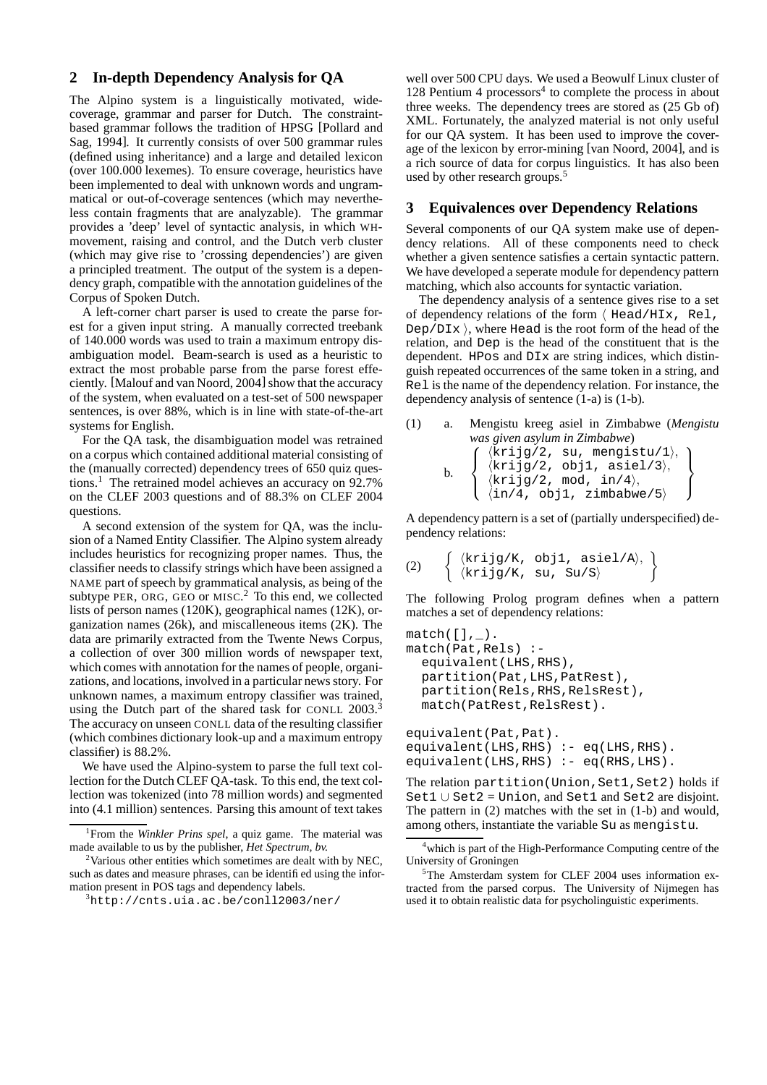### **2 In-depth Dependency Analysis for QA**

The Alpino system is a linguistically motivated, widecoverage, grammar and parser for Dutch. The constraintbased grammar follows the tradition of HPSG [Pollard and Sag, 1994]. It currently consists of over 500 grammar rules (defined using inheritance) and a large and detailed lexicon (over 100.000 lexemes). To ensure coverage, heuristics have been implemented to deal with unknown words and ungrammatical or out-of-coverage sentences (which may nevertheless contain fragments that are analyzable). The grammar provides a 'deep' level of syntactic analysis, in which WHmovement, raising and control, and the Dutch verb cluster (which may give rise to 'crossing dependencies') are given a principled treatment. The output of the system is a dependency graph, compatible with the annotation guidelines of the Corpus of Spoken Dutch.

A left-corner chart parser is used to create the parse forest for a given input string. A manually corrected treebank of 140.000 words was used to train a maximum entropy disambiguation model. Beam-search is used as a heuristic to extract the most probable parse from the parse forest effeciently. [Malouf and van Noord, 2004] show that the accuracy of the system, when evaluated on a test-set of 500 newspaper sentences, is over 88%, which is in line with state-of-the-art systems for English.

For the QA task, the disambiguation model was retrained on a corpus which contained additional material consisting of the (manually corrected) dependency trees of 650 quiz questions.<sup>1</sup> The retrained model achieves an accuracy on 92.7% on the CLEF 2003 questions and of 88.3% on CLEF 2004 questions.

A second extension of the system for QA, was the inclusion of a Named Entity Classifier. The Alpino system already includes heuristics for recognizing proper names. Thus, the classifier needs to classify strings which have been assigned a NAME part of speech by grammatical analysis, as being of the subtype PER, ORG, GEO or MISC. <sup>2</sup> To this end, we collected lists of person names (120K), geographical names (12K), organization names (26k), and miscalleneous items (2K). The data are primarily extracted from the Twente News Corpus, a collection of over 300 million words of newspaper text, which comes with annotation for the names of people, organizations, and locations, involved in a particular news story. For unknown names, a maximum entropy classifier was trained, using the Dutch part of the shared task for CONLL 2003.<sup>3</sup> The accuracy on unseen CONLL data of the resulting classifier (which combines dictionary look-up and a maximum entropy classifier) is 88.2%.

We have used the Alpino-system to parse the full text collection for the Dutch CLEF QA-task. To this end, the text collection was tokenized (into 78 million words) and segmented into (4.1 million) sentences. Parsing this amount of text takes

well over 500 CPU days. We used a Beowulf Linux cluster of  $128$  Pentium 4 processors<sup>4</sup> to complete the process in about three weeks. The dependency trees are stored as (25 Gb of) XML. Fortunately, the analyzed material is not only useful for our QA system. It has been used to improve the coverage of the lexicon by error-mining [van Noord, 2004], and is a rich source of data for corpus linguistics. It has also been used by other research groups.<sup>5</sup>

## **3 Equivalences over Dependency Relations**

Several components of our QA system make use of dependency relations. All of these components need to check whether a given sentence satisfies a certain syntactic pattern. We have developed a seperate module for dependency pattern matching, which also accounts for syntactic variation.

The dependency analysis of a sentence gives rise to a set of dependency relations of the form  $\langle$  Head/HIx, Rel, Dep/DI $x$ , where Head is the root form of the head of the relation, and Dep is the head of the constituent that is the dependent. HPos and DIx are string indices, which distinguish repeated occurrences of the same token in a string, and Rel is the name of the dependency relation. For instance, the dependency analysis of sentence (1-a) is (1-b).

(1) a. Mengistu kreeg asiel in Zimbabwe (Mengistu was given asylum in Zimbabwe)

\nb. 
$$
\left\{\n \begin{array}{ll}\n \langle k\text{right/2, su, mengistu/1}\rangle, \\
 \langle k\text{right/2, obj1, asiel/3}\rangle, \\
 \langle k\text{right/2, mod, in/4}\rangle, \\
 \langle \text{in/4, obj1, zimbabwe/5}\rangle\n \end{array}\n \right\}
$$

A dependency pattern is a set of (partially underspecified) dependency relations:

(2) 
$$
\left\{ \begin{array}{ll} \langle k\text{rig}/K, \text{obj1, asiel}/A \rangle, \\ \langle k\text{rig}/K, \text{su, Su}/S \rangle \end{array} \right\}
$$

The following Prolog program defines when a pattern matches a set of dependency relations:

```
match([],\_.
match(Pat,Rels) :-
  equivalent(LHS,RHS),
  partition(Pat,LHS,PatRest),
  partition(Rels,RHS,RelsRest),
  match(PatRest,RelsRest).
equivalent(Pat,Pat).
equivalent(LHS, RHS) :- eq(LHS, RHS).
```

```
equivalent(LHS, RHS) :- eq(RHS, LHS).
```
The relation partition (Union, Set1, Set2) holds if Set1 ∪ Set2 = Union, and Set1 and Set2 are disjoint. The pattern in (2) matches with the set in (1-b) and would, among others, instantiate the variable Su as mengistu.

<sup>1</sup> From the *Winkler Prins spel*, a quiz game. The material was made available to us by the publisher, *Het Spectrum, bv.*

 $2$ Various other entities which sometimes are dealt with by NEC. such as dates and measure phrases, can be identified using the information present in POS tags and dependency labels.

 $3$ http:// $cnts.uia.ac.be/con112003/ner/$ 

<sup>&</sup>lt;sup>4</sup>which is part of the High-Performance Computing centre of the University of Groningen

<sup>&</sup>lt;sup>5</sup>The Amsterdam system for CLEF 2004 uses information extracted from the parsed corpus. The University of Nijmegen has used it to obtain realistic data for psycholinguistic experiments.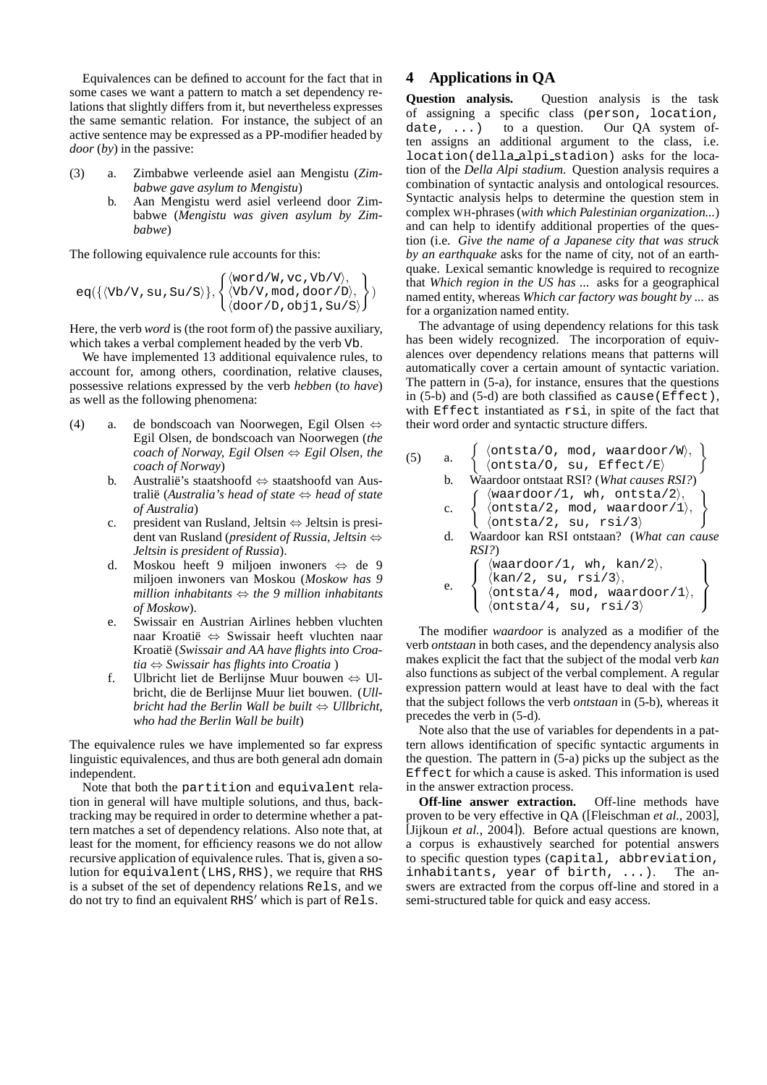Equivalences can be defined to account for the fact that in some cases we want a pattern to match a set dependency relations that slightly differs from it, but nevertheless expresses the same semantic relation. For instance, the subject of an active sentence may be expressed as a PP-modifier headed by *door* (*by*) in the passive:

- (3) a. Zimbabwe verleende asiel aan Mengistu (*Zimbabwe gave asylum to Mengistu*)
	- b. Aan Mengistu werd asiel verleend door Zimbabwe (*Mengistu was given asylum by Zimbabwe*)

The following equivalence rule accounts for this:

$$
eq({\langle Vb/V,su, Su/S \rangle}), \begin{Bmatrix} \langle word/W, vc, Vb/V \rangle, \\ \langle Vb/V, mod, door/D \rangle, \\ \langle door/D, obj1, Su/S \rangle \end{Bmatrix})
$$

Here, the verb *word* is (the root form of) the passive auxiliary, which takes a verbal complement headed by the verb Vb.

We have implemented 13 additional equivalence rules, to account for, among others, coordination, relative clauses, possessive relations expressed by the verb *hebben* (*to have*) as well as the following phenomena:

- (4) a. de bondscoach van Noorwegen, Egil Olsen ⇔ Egil Olsen, de bondscoach van Noorwegen (*the coach of Norway, Egil Olsen*  $\Leftrightarrow$  *Egil Olsen, the coach of Norway*)
	- b. Australië's staatshoofd  $\Leftrightarrow$  staatshoofd van Australie¨ (*Australia's head of state* ⇔ *head of state of Australia*)
	- c. president van Rusland, Jeltsin ⇔ Jeltsin is president van Rusland (*president of Russia, Jeltsin* ⇔ *Jeltsin is president of Russia*).
	- d. Moskou heeft 9 miljoen inwoners ⇔ de 9 miljoen inwoners van Moskou (*Moskow has 9 million inhabitants* ⇔ *the 9 million inhabitants of Moskow*).
	- e. Swissair en Austrian Airlines hebben vluchten naar Kroatie¨ ⇔ Swissair heeft vluchten naar Kroatie¨ (*Swissair and AA have flights into Croatia* ⇔ *Swissair has flights into Croatia* )
	- f. Ulbricht liet de Berlijnse Muur bouwen  $\Leftrightarrow$  Ulbricht, die de Berlijnse Muur liet bouwen. (*Ullbricht had the Berlin Wall be built* ⇔ *Ullbricht, who had the Berlin Wall be built*)

The equivalence rules we have implemented so far express linguistic equivalences, and thus are both general adn domain independent.

Note that both the partition and equivalent relation in general will have multiple solutions, and thus, backtracking may be required in order to determine whether a pattern matches a set of dependency relations. Also note that, at least for the moment, for efficiency reasons we do not allow recursive application of equivalence rules. That is, given a solution for equivalent(LHS,RHS), we require that RHS is a subset of the set of dependency relations Rels, and we do not try to find an equivalent  $R$ H $S'$  which is part of  $R$ els.

## **4 Applications in QA**

**Question analysis.** Question analysis is the task of assigning a specific class (person, location, date,  $\dots$ ) to a question. Our QA system often assigns an additional argument to the class, i.e. location(della alpi stadion) asks for the location of the *Della Alpi stadium*. Question analysis requires a combination of syntactic analysis and ontological resources. Syntactic analysis helps to determine the question stem in complex WH-phrases (*with which Palestinian organization...*) and can help to identify additional properties of the question (i.e. *Give the name of a Japanese city that was struck by an earthquake* asks for the name of city, not of an earthquake. Lexical semantic knowledge is required to recognize that *Which region in the US has ...* asks for a geographical named entity, whereas *Which car factory was bought by ...* as for a organization named entity.

The advantage of using dependency relations for this task has been widely recognized. The incorporation of equivalences over dependency relations means that patterns will automatically cover a certain amount of syntactic variation. The pattern in (5-a), for instance, ensures that the questions in (5-b) and (5-d) are both classified as cause(Effect), with Effect instantiated as rsi, in spite of the fact that their word order and syntactic structure differs.

| (5) | a. | $\left\{ \begin{array}{ll} \langle \text{ontsta/0, mod, waardoor/W} \rangle, \\ \langle \text{ontsta/0, su, Effect/E} \rangle. \end{array} \right.$                                                                                 |
|-----|----|-------------------------------------------------------------------------------------------------------------------------------------------------------------------------------------------------------------------------------------|
|     | b. | Waardoor ontstaat RSI? (What causes RSI?)                                                                                                                                                                                           |
|     |    | c. $\left\{\begin{array}{l}\langle\text{waardoor}/1,\text{ wh},\text{ ontsta}/2\rangle,\\ \langle\text{ontsta}/2,\text{ mod},\text{ waardoor}/1\rangle,\\ \langle\text{ontsta}/2,\text{ su},\text{ rsi}/3\rangle\end{array}\right.$ |
|     |    |                                                                                                                                                                                                                                     |
|     |    |                                                                                                                                                                                                                                     |
|     | d. | Waardoor kan RSI ontstaan? (What can cause                                                                                                                                                                                          |
|     |    | RSI?)                                                                                                                                                                                                                               |
|     |    | $\langle \text{waardoor}/1, \text{ wh}, \text{ kan}/2 \rangle,$<br>$\langle \text{kan}/2, \text{ su}, \text{rsi}/3 \rangle,$<br>$\langle \text{ontsta}/4, \text{ mod}, \text{waardoor}/1 \rangle,$                                  |
|     | e. |                                                                                                                                                                                                                                     |
|     |    |                                                                                                                                                                                                                                     |
|     |    | $\langle$ ontsta/4, su, rsi/3 $\rangle$                                                                                                                                                                                             |

The modifier *waardoor* is analyzed as a modifier of the verb *ontstaan* in both cases, and the dependency analysis also makes explicit the fact that the subject of the modal verb *kan* also functions as subject of the verbal complement. A regular expression pattern would at least have to deal with the fact that the subject follows the verb *ontstaan* in (5-b), whereas it precedes the verb in (5-d).

Note also that the use of variables for dependents in a pattern allows identification of specific syntactic arguments in the question. The pattern in (5-a) picks up the subject as the Effect for which a cause is asked. This information is used in the answer extraction process.

**Off-line answer extraction.** Off-line methods have proven to be very effective in QA ([Fleischman *et al.*, 2003], [Jijkoun *et al.*, 2004]). Before actual questions are known, a corpus is exhaustively searched for potential answers to specific question types (capital, abbreviation, inhabitants, year of birth, ...). The answers are extracted from the corpus off-line and stored in a semi-structured table for quick and easy access.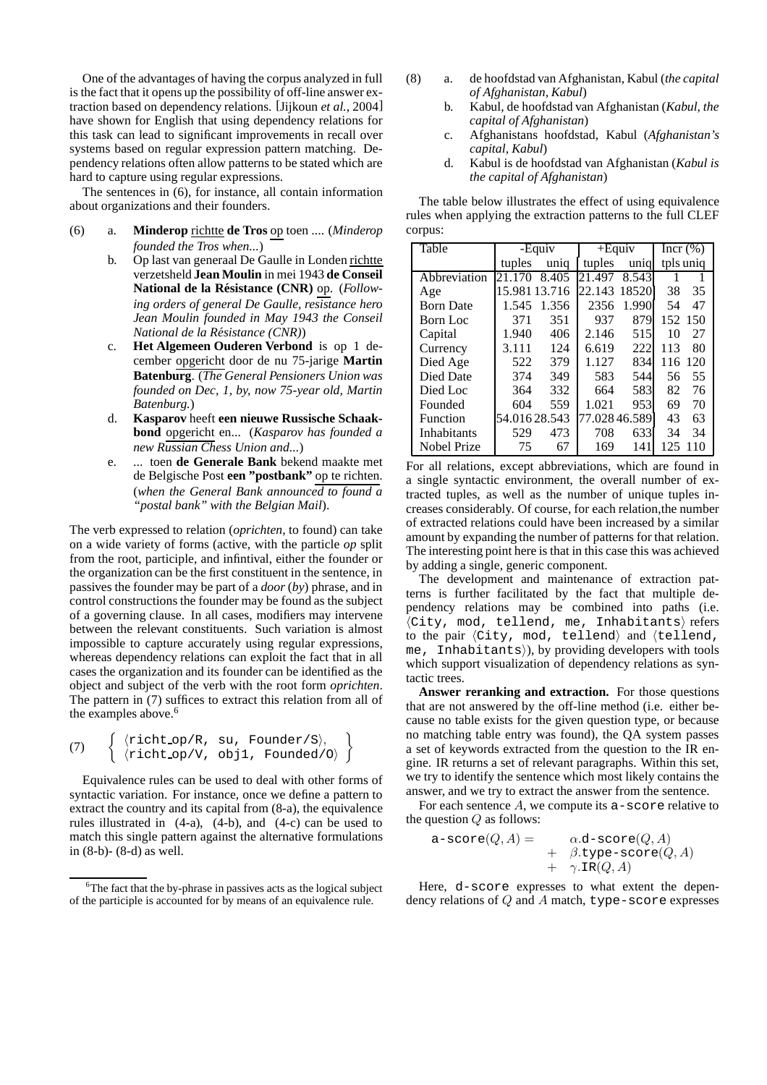One of the advantages of having the corpus analyzed in full is the fact that it opens up the possibility of off-line answer extraction based on dependency relations. [Jijkoun *et al.*, 2004] have shown for English that using dependency relations for this task can lead to significant improvements in recall over systems based on regular expression pattern matching. Dependency relations often allow patterns to be stated which are hard to capture using regular expressions.

The sentences in (6), for instance, all contain information about organizations and their founders.

- (6) a. **Minderop** richtte **de Tros** op toen .... (*Minderop founded the Tros when...*)
	- b. Op last van generaal De Gaulle in Londen richtte verzetsheld **Jean Moulin** in mei 1943 **de Conseil National de la Resistance ´ (CNR)** op. (*Following orders of general De Gaulle, resistance hero Jean Moulin founded in May 1943 the Conseil National de la Resistance ´ (CNR)*)
	- c. **Het Algemeen Ouderen Verbond** is op 1 december opgericht door de nu 75-jarige **Martin Batenburg**. (*The General Pensioners Union was founded on Dec, 1, by, now 75-year old, Martin Batenburg.*)
	- d. **Kasparov** heeft **een nieuwe Russische Schaakbond** opgericht en... (*Kasparov has founded a new Russian Chess Union and...*)
	- e. ... toen **de Generale Bank** bekend maakte met de Belgische Post **een "postbank"** op te richten. (*when the General Bank announced to found a "postal bank" with the Belgian Mail*).

The verb expressed to relation (*oprichten*, to found) can take on a wide variety of forms (active, with the particle *op* split from the root, participle, and infintival, either the founder or the organization can be the first constituent in the sentence, in passives the founder may be part of a *door* (*by*) phrase, and in control constructions the founder may be found as the subject of a governing clause. In all cases, modifiers may intervene between the relevant constituents. Such variation is almost impossible to capture accurately using regular expressions, whereas dependency relations can exploit the fact that in all cases the organization and its founder can be identified as the object and subject of the verb with the root form *oprichten*. The pattern in (7) suffices to extract this relation from all of the examples above.<sup>6</sup>

(7) 
$$
\left\{ \begin{array}{ll} \langle \text{richt_op/R, su, Founder/S} \rangle, \\ \langle \text{richt_op/V, obj1, Founded/O} \rangle \end{array} \right\}
$$

Equivalence rules can be used to deal with other forms of syntactic variation. For instance, once we define a pattern to extract the country and its capital from (8-a), the equivalence rules illustrated in  $(4-a)$ ,  $(4-b)$ , and  $(4-c)$  can be used to match this single pattern against the alternative formulations in (8-b)- (8-d) as well.

- (8) a. de hoofdstad van Afghanistan, Kabul (*the capital of Afghanistan, Kabul*)
	- b. Kabul, de hoofdstad van Afghanistan (*Kabul, the capital of Afghanistan*)
	- c. Afghanistans hoofdstad, Kabul (*Afghanistan's capital, Kabul*)
	- d. Kabul is de hoofdstad van Afghanistan (*Kabul is the capital of Afghanistan*)

The table below illustrates the effect of using equivalence rules when applying the extraction patterns to the full CLEF corpus:

| Table            | -Equiv        |       | $+$ Equiv     |       | Incr $(\%)$ |           |
|------------------|---------------|-------|---------------|-------|-------------|-----------|
|                  | tuples        | uniq  | tuples        | unig  |             | tpls uniq |
| Abbreviation     | 21.170        | 8.405 | 21.497        | 8.543 |             |           |
| Age              | 15.981 13.716 |       | 22.143        | 18520 | 38          | 35        |
| <b>Born Date</b> | 1.545         | 1.356 | 2356          | 1.990 | 54          | 47        |
| <b>Born</b> Loc  | 371           | 351   | 937           | 879   | 152         | -150      |
| Capital          | 1.940         | 406   | 2.146         | 515   | 10          | 27        |
| Currency         | 3.111         | 124   | 6.619         | 222   | 113         | 80        |
| Died Age         | 522           | 379   | 1.127         | 834   | 116         | 120       |
| Died Date        | 374           | 349   | 583           | 544   | 56          | 55        |
| Died Loc         | 364           | 332   | 664           | 583   | 82          | 76        |
| Founded          | 604           | 559   | 1.021         | 953   | 69          | 70        |
| Function         | 54.01628.543  |       | 77.028 46.589 |       | 43          | 63        |
| Inhabitants      | 529           | 473   | 708           | 633   | 34          | 34        |
| Nobel Prize      | 75            | 67    | 169           | 141   | 125         | 10        |

For all relations, except abbreviations, which are found in a single syntactic environment, the overall number of extracted tuples, as well as the number of unique tuples increases considerably. Of course, for each relation,the number of extracted relations could have been increased by a similar amount by expanding the number of patterns for that relation. The interesting point here is that in this case this was achieved by adding a single, generic component.

The development and maintenance of extraction patterns is further facilitated by the fact that multiple dependency relations may be combined into paths (i.e.  $\langle City, mod, tellend, me, Inhabitants \rangle$  refers to the pair  $\langle City, \mod, t$ ellend $\rangle$  and  $\langle tell$ end, me, Inhabitants), by providing developers with tools which support visualization of dependency relations as syntactic trees.

**Answer reranking and extraction.** For those questions that are not answered by the off-line method (i.e. either because no table exists for the given question type, or because no matching table entry was found), the QA system passes a set of keywords extracted from the question to the IR engine. IR returns a set of relevant paragraphs. Within this set, we try to identify the sentence which most likely contains the answer, and we try to extract the answer from the sentence.

For each sentence  $A$ , we compute its a-score relative to the question  $Q$  as follows:

$$
\begin{array}{lcl} \texttt{a-score}(Q, A) = & \alpha.\texttt{d-score}(Q, A) \\ & + & \beta.\texttt{type-score}(Q, A) \\ & + & \gamma.\texttt{IR}(Q, A) \end{array}
$$

Here, d-score expresses to what extent the dependency relations of  $Q$  and  $A$  match, type-score expresses

<sup>6</sup>The fact that the by-phrase in passives acts as the logical subject of the participle is accounted for by means of an equivalence rule.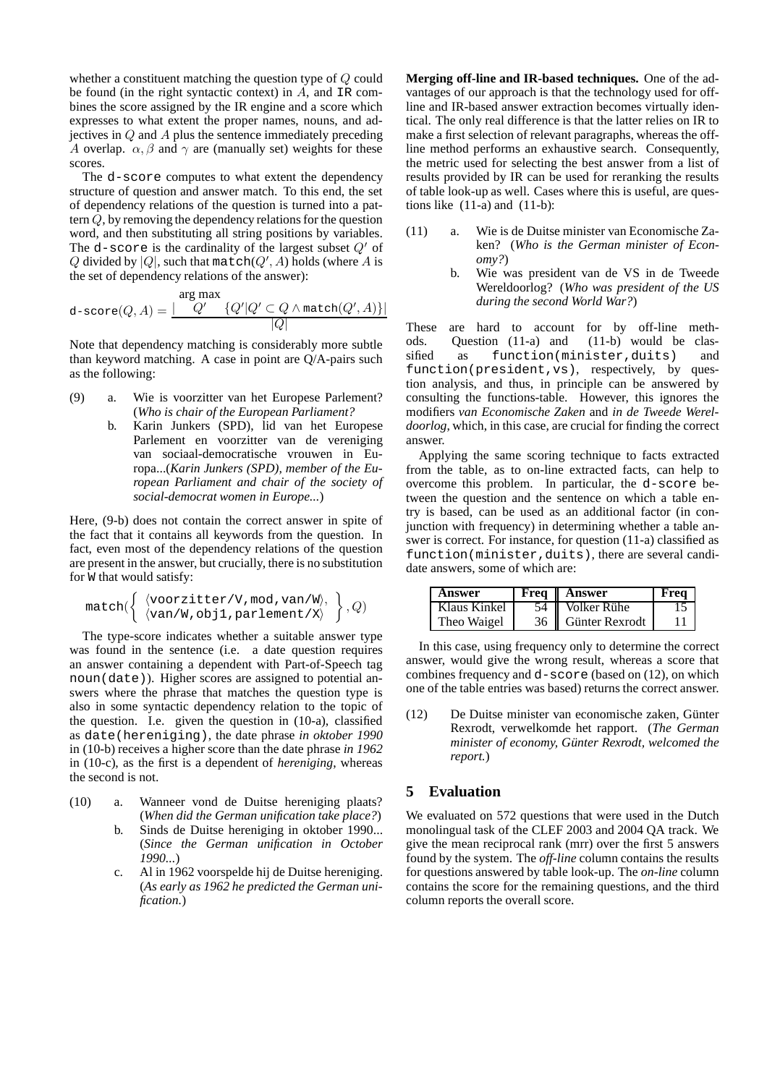whether a constituent matching the question type of Q could be found (in the right syntactic context) in A, and IR combines the score assigned by the IR engine and a score which expresses to what extent the proper names, nouns, and adjectives in Q and A plus the sentence immediately preceding A overlap.  $\alpha$ ,  $\beta$  and  $\gamma$  are (manually set) weights for these scores.

The d-score computes to what extent the dependency structure of question and answer match. To this end, the set of dependency relations of the question is turned into a pattern  $Q$ , by removing the dependency relations for the question word, and then substituting all string positions by variables. The d-score is the cardinality of the largest subset  $Q'$  of Q divided by  $|Q|$ , such that match $(Q', A)$  holds (where A is the set of dependency relations of the answer):

$$
\text{d-score}(Q, A) = \frac{\text{arg max}}{Q'} \cdot \frac{Q'|Q' \subset Q \land \text{match}(Q', A)\}|}{|Q|}
$$

Note that dependency matching is considerably more subtle than keyword matching. A case in point are Q/A-pairs such as the following:

- (9) a. Wie is voorzitter van het Europese Parlement? (*Who is chair of the European Parliament?*
	- b. Karin Junkers (SPD), lid van het Europese Parlement en voorzitter van de vereniging van sociaal-democratische vrouwen in Europa...(*Karin Junkers (SPD), member of the European Parliament and chair of the society of social-democrat women in Europe...*)

Here, (9-b) does not contain the correct answer in spite of the fact that it contains all keywords from the question. In fact, even most of the dependency relations of the question are present in the answer, but crucially, there is no substitution for W that would satisfy:

$$
\texttt{match}(\left\{\begin{array}{l}\langle voorzitter/V, \texttt{mod}, \texttt{van}/W\rangle,\\ \langle \texttt{van}/W, \texttt{obj1}, \texttt{parlement}/X\rangle\end{array}\right\}, Q)
$$

The type-score indicates whether a suitable answer type was found in the sentence (i.e. a date question requires an answer containing a dependent with Part-of-Speech tag noun(date)). Higher scores are assigned to potential answers where the phrase that matches the question type is also in some syntactic dependency relation to the topic of the question. I.e. given the question in (10-a), classified as date(hereniging), the date phrase *in oktober 1990* in (10-b) receives a higher score than the date phrase *in 1962* in (10-c), as the first is a dependent of *hereniging*, whereas the second is not.

- (10) a. Wanneer vond de Duitse hereniging plaats? (*When did the German unification take place?*)
	- b. Sinds de Duitse hereniging in oktober 1990... (*Since the German unification in October 1990...*)
	- c. Al in 1962 voorspelde hij de Duitse hereniging. (*As early as 1962 he predicted the German unification.*)

**Merging off-line and IR-based techniques.** One of the advantages of our approach is that the technology used for offline and IR-based answer extraction becomes virtually identical. The only real difference is that the latter relies on IR to make a first selection of relevant paragraphs, whereas the offline method performs an exhaustive search. Consequently, the metric used for selecting the best answer from a list of results provided by IR can be used for reranking the results of table look-up as well. Cases where this is useful, are questions like  $(11-a)$  and  $(11-b)$ :

- (11) a. Wie is de Duitse minister van Economische Zaken? (*Who is the German minister of Economy?*)
	- b. Wie was president van de VS in de Tweede Wereldoorlog? (*Who was president of the US during the second World War?*)

These are hard to account for by off-line methods. Question (11-a) and (11-b) would be classified as function(minister,duits) and function(president,vs), respectively, by question analysis, and thus, in principle can be answered by consulting the functions-table. However, this ignores the modifiers *van Economische Zaken* and *in de Tweede Wereldoorlog*, which, in this case, are crucial for finding the correct answer.

Applying the same scoring technique to facts extracted from the table, as to on-line extracted facts, can help to overcome this problem. In particular, the d-score between the question and the sentence on which a table entry is based, can be used as an additional factor (in conjunction with frequency) in determining whether a table answer is correct. For instance, for question (11-a) classified as function(minister,duits), there are several candidate answers, some of which are:

| Answer       | <b>Freq   Answer</b> | Frea |
|--------------|----------------------|------|
| Klaus Kinkel | 54   Volker Rühe     |      |
| Theo Waigel  | 36   Günter Rexrodt  |      |

In this case, using frequency only to determine the correct answer, would give the wrong result, whereas a score that combines frequency and d-score (based on (12), on which one of the table entries was based) returns the correct answer.

(12) De Duitse minister van economische zaken, Günter Rexrodt, verwelkomde het rapport. (*The German minister of economy, Gunter ¨ Rexrodt, welcomed the report.*)

# **5 Evaluation**

We evaluated on 572 questions that were used in the Dutch monolingual task of the CLEF 2003 and 2004 QA track. We give the mean reciprocal rank (mrr) over the first 5 answers found by the system. The *off-line* column contains the results for questions answered by table look-up. The *on-line* column contains the score for the remaining questions, and the third column reports the overall score.